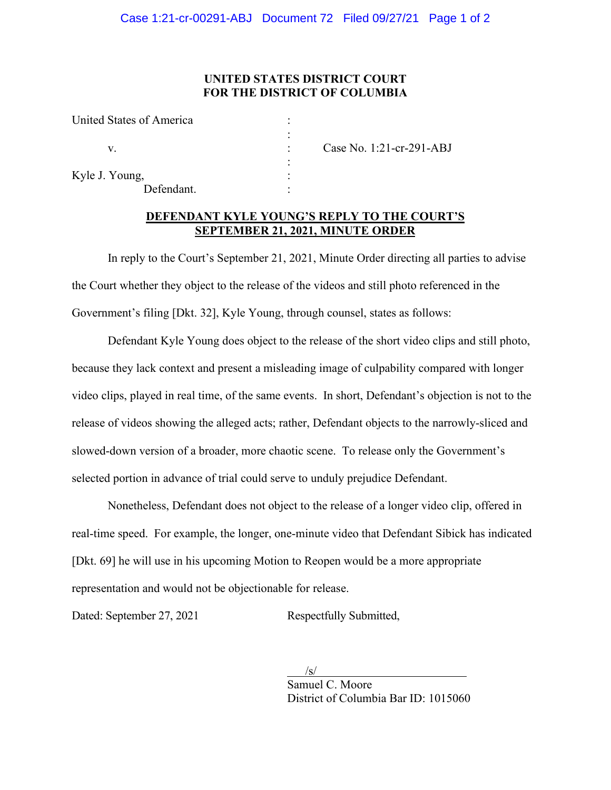## **UNITED STATES DISTRICT COURT FOR THE DISTRICT OF COLUMBIA**

| United States of America |                          |
|--------------------------|--------------------------|
|                          |                          |
|                          | Case No. 1:21-cr-291-ABJ |
|                          |                          |
| Kyle J. Young,           |                          |
| Defendant.               |                          |

## **DEFENDANT KYLE YOUNG'S REPLY TO THE COURT'S SEPTEMBER 21, 2021, MINUTE ORDER**

In reply to the Court's September 21, 2021, Minute Order directing all parties to advise the Court whether they object to the release of the videos and still photo referenced in the Government's filing [Dkt. 32], Kyle Young, through counsel, states as follows:

Defendant Kyle Young does object to the release of the short video clips and still photo, because they lack context and present a misleading image of culpability compared with longer video clips, played in real time, of the same events. In short, Defendant's objection is not to the release of videos showing the alleged acts; rather, Defendant objects to the narrowly-sliced and slowed-down version of a broader, more chaotic scene. To release only the Government's selected portion in advance of trial could serve to unduly prejudice Defendant.

Nonetheless, Defendant does not object to the release of a longer video clip, offered in real-time speed. For example, the longer, one-minute video that Defendant Sibick has indicated [Dkt. 69] he will use in his upcoming Motion to Reopen would be a more appropriate representation and would not be objectionable for release.

Dated: September 27, 2021 Respectfully Submitted,

 $\sqrt{s}$ /s/ Samuel C. Moore District of Columbia Bar ID: 1015060